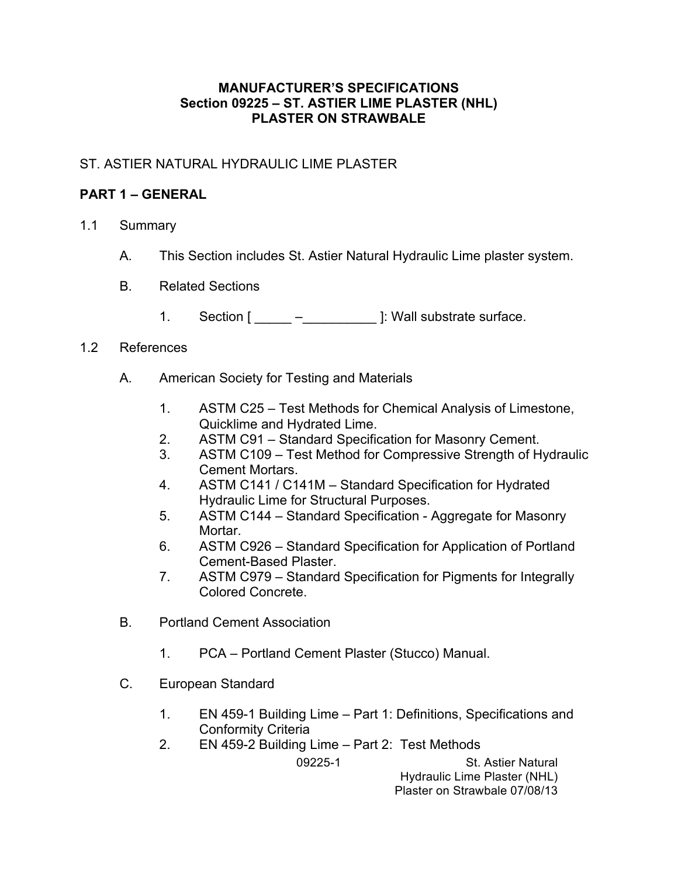#### **MANUFACTURER'S SPECIFICATIONS Section 09225 – ST. ASTIER LIME PLASTER (NHL) PLASTER ON STRAWBALE**

## ST. ASTIER NATURAL HYDRAULIC LIME PLASTER

# **PART 1 – GENERAL**

- 1.1 Summary
	- A. This Section includes St. Astier Natural Hydraulic Lime plaster system.
	- B. Related Sections
		- 1. Section  $[\underline{\hspace{1cm}} \underline{\hspace{1cm}} \underline{\hspace{1cm}} ]$ : Wall substrate surface.

#### 1.2 References

- A. American Society for Testing and Materials
	- 1. ASTM C25 Test Methods for Chemical Analysis of Limestone, Quicklime and Hydrated Lime.
	- 2. ASTM C91 Standard Specification for Masonry Cement.
	- 3. ASTM C109 Test Method for Compressive Strength of Hydraulic Cement Mortars.
	- 4. ASTM C141 / C141M Standard Specification for Hydrated Hydraulic Lime for Structural Purposes.
	- 5. ASTM C144 Standard Specification Aggregate for Masonry Mortar.
	- 6. ASTM C926 Standard Specification for Application of Portland Cement-Based Plaster.
	- 7. ASTM C979 Standard Specification for Pigments for Integrally Colored Concrete.
- B. Portland Cement Association
	- 1. PCA Portland Cement Plaster (Stucco) Manual.
- C. European Standard
	- 1. EN 459-1 Building Lime Part 1: Definitions, Specifications and Conformity Criteria
	- 2. EN 459-2 Building Lime Part 2: Test Methods

09225-1 St. Astier Natural Hydraulic Lime Plaster (NHL) Plaster on Strawbale 07/08/13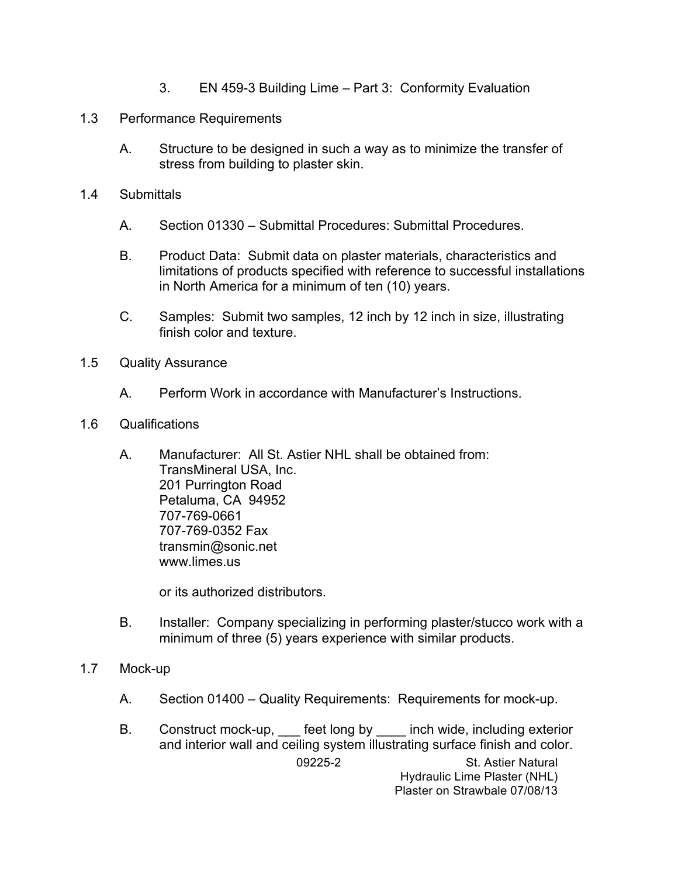- 3. EN 459-3 Building Lime Part 3: Conformity Evaluation
- 1.3 Performance Requirements
	- A. Structure to be designed in such a way as to minimize the transfer of stress from building to plaster skin.
- 1.4 Submittals
	- A. Section 01330 Submittal Procedures: Submittal Procedures.
	- B. Product Data: Submit data on plaster materials, characteristics and limitations of products specified with reference to successful installations in North America for a minimum of ten (10) years.
	- C. Samples: Submit two samples, 12 inch by 12 inch in size, illustrating finish color and texture.
- 1.5 Quality Assurance
	- A. Perform Work in accordance with Manufacturer's Instructions.
- 1.6 Qualifications
	- A. Manufacturer: All St. Astier NHL shall be obtained from: TransMineral USA, Inc. 201 Purrington Road Petaluma, CA 94952 707-769-0661 707-769-0352 Fax transmin@sonic.net www.limes.us

or its authorized distributors.

- B. Installer: Company specializing in performing plaster/stucco work with a minimum of three (5) years experience with similar products.
- 1.7 Mock-up
	- A. Section 01400 Quality Requirements: Requirements for mock-up.
	- 09225-2 St. Astier Natural B. Construct mock-up, feet long by inch wide, including exterior and interior wall and ceiling system illustrating surface finish and color.

Hydraulic Lime Plaster (NHL) Plaster on Strawbale 07/08/13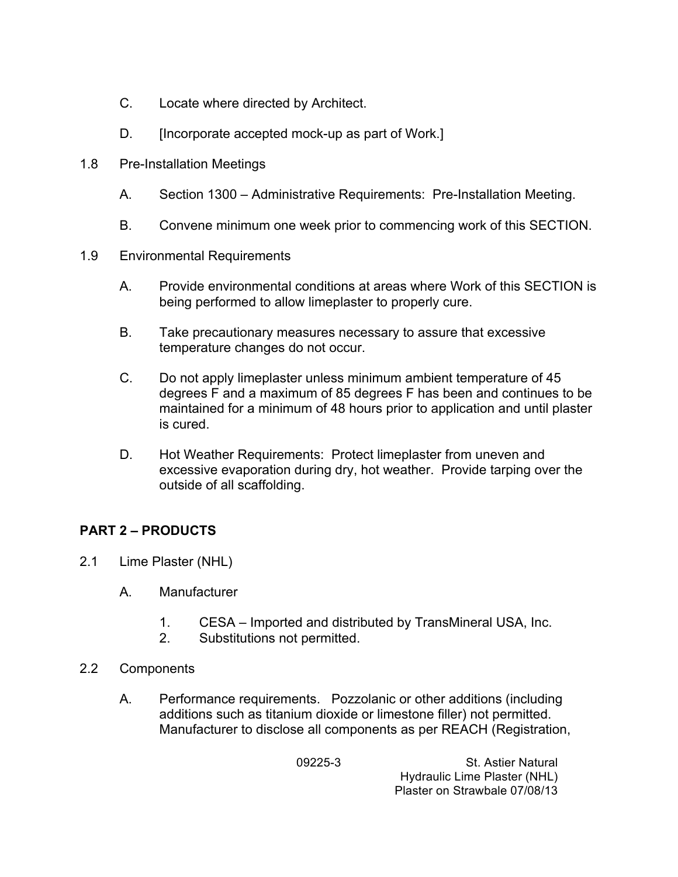- C. Locate where directed by Architect.
- D. [Incorporate accepted mock-up as part of Work.]
- 1.8 Pre-Installation Meetings
	- A. Section 1300 Administrative Requirements: Pre-Installation Meeting.
	- B. Convene minimum one week prior to commencing work of this SECTION.
- 1.9 Environmental Requirements
	- A. Provide environmental conditions at areas where Work of this SECTION is being performed to allow limeplaster to properly cure.
	- B. Take precautionary measures necessary to assure that excessive temperature changes do not occur.
	- C. Do not apply limeplaster unless minimum ambient temperature of 45 degrees F and a maximum of 85 degrees F has been and continues to be maintained for a minimum of 48 hours prior to application and until plaster is cured.
	- D. Hot Weather Requirements: Protect limeplaster from uneven and excessive evaporation during dry, hot weather. Provide tarping over the outside of all scaffolding.

## **PART 2 – PRODUCTS**

- 2.1 Lime Plaster (NHL)
	- A. Manufacturer
		- 1. CESA Imported and distributed by TransMineral USA, Inc.
		- 2. Substitutions not permitted.
- 2.2 Components
	- A. Performance requirements. Pozzolanic or other additions (including additions such as titanium dioxide or limestone filler) not permitted. Manufacturer to disclose all components as per REACH (Registration,

09225-3 St. Astier Natural Hydraulic Lime Plaster (NHL) Plaster on Strawbale 07/08/13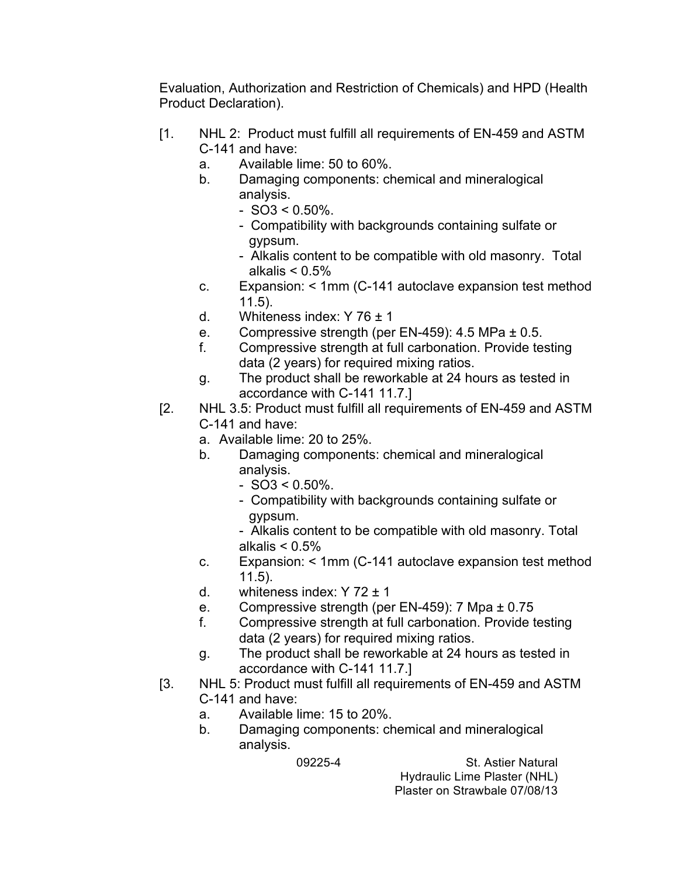Evaluation, Authorization and Restriction of Chemicals) and HPD (Health Product Declaration).

- [1. NHL 2: Product must fulfill all requirements of EN-459 and ASTM C-141 and have:
	- a. Available lime: 50 to 60%.
	- b. Damaging components: chemical and mineralogical analysis.
		- $-$  SO3 < 0.50%.
		- Compatibility with backgrounds containing sulfate or gypsum.
		- Alkalis content to be compatible with old masonry. Total alkalis  $< 0.5\%$
	- c. Expansion: < 1mm (C-141 autoclave expansion test method 11.5).
	- d. Whiteness index: Y  $76 \pm 1$
	- e. Compressive strength (per EN-459): 4.5 MPa ± 0.5.
	- f. Compressive strength at full carbonation. Provide testing data (2 years) for required mixing ratios.
	- g. The product shall be reworkable at 24 hours as tested in accordance with C-141 11.7.]
- [2. NHL 3.5: Product must fulfill all requirements of EN-459 and ASTM C-141 and have:
	- a. Available lime: 20 to 25%.
	- b. Damaging components: chemical and mineralogical analysis.
		- $-$  SO3 < 0.50%.
		- Compatibility with backgrounds containing sulfate or gypsum.
		- Alkalis content to be compatible with old masonry. Total alkalis  $< 0.5\%$
	- c. Expansion: < 1mm (C-141 autoclave expansion test method 11.5).
	- d. whiteness index:  $Y$  72  $\pm$  1
	- e. Compressive strength (per EN-459): 7 Mpa ± 0.75
	- f. Compressive strength at full carbonation. Provide testing data (2 years) for required mixing ratios.
	- g. The product shall be reworkable at 24 hours as tested in accordance with C-141 11.7.]
- [3. NHL 5: Product must fulfill all requirements of EN-459 and ASTM C-141 and have:
	- a. Available lime: 15 to 20%.
	- b. Damaging components: chemical and mineralogical analysis.

09225-4 St. Astier Natural Hydraulic Lime Plaster (NHL) Plaster on Strawbale 07/08/13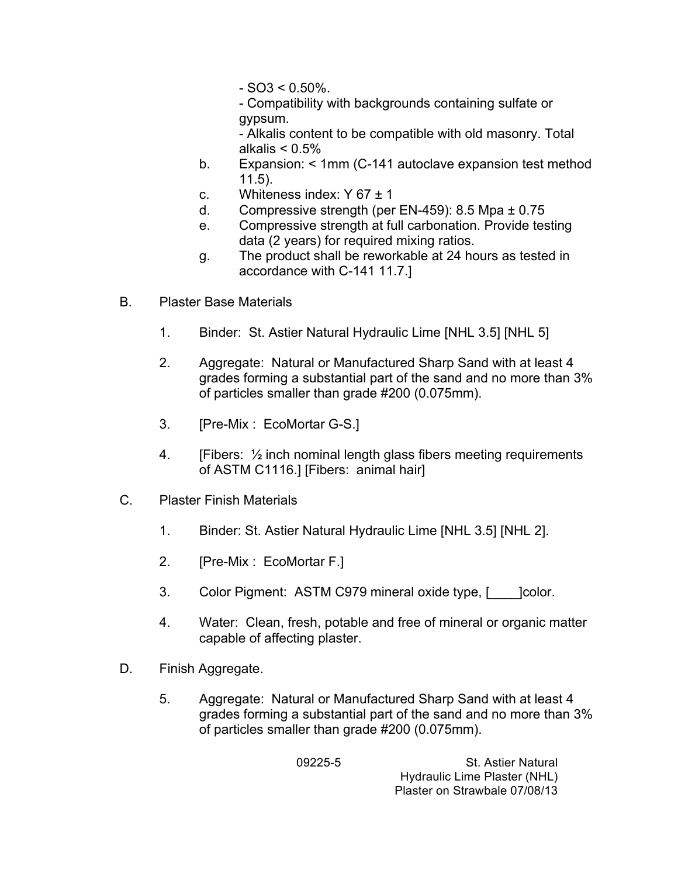- $-SO3 < 0.50\%$
- Compatibility with backgrounds containing sulfate or gypsum.
- Alkalis content to be compatible with old masonry. Total alkalis  $< 0.5\%$
- b. Expansion: < 1mm (C-141 autoclave expansion test method 11.5).
- c. Whiteness index:  $Y 67 \pm 1$
- d. Compressive strength (per EN-459): 8.5 Mpa ± 0.75
- e. Compressive strength at full carbonation. Provide testing data (2 years) for required mixing ratios.
- g. The product shall be reworkable at 24 hours as tested in accordance with C-141 11.7.]
- B. Plaster Base Materials
	- 1. Binder: St. Astier Natural Hydraulic Lime [NHL 3.5] [NHL 5]
	- 2. Aggregate: Natural or Manufactured Sharp Sand with at least 4 grades forming a substantial part of the sand and no more than 3% of particles smaller than grade #200 (0.075mm).
	- 3. [Pre-Mix : EcoMortar G-S.]
	- 4. [Fibers:  $\frac{1}{2}$  inch nominal length glass fibers meeting requirements of ASTM C1116.] [Fibers: animal hair]
- C. Plaster Finish Materials
	- 1. Binder: St. Astier Natural Hydraulic Lime [NHL 3.5] [NHL 2].
	- 2. [Pre-Mix : EcoMortar F.]
	- 3. Color Pigment: ASTM C979 mineral oxide type, [ \_\_\_ ]color.
	- 4. Water: Clean, fresh, potable and free of mineral or organic matter capable of affecting plaster.
- D. Finish Aggregate.
	- 5. Aggregate: Natural or Manufactured Sharp Sand with at least 4 grades forming a substantial part of the sand and no more than 3% of particles smaller than grade #200 (0.075mm).

09225-5 St. Astier Natural Hydraulic Lime Plaster (NHL) Plaster on Strawbale 07/08/13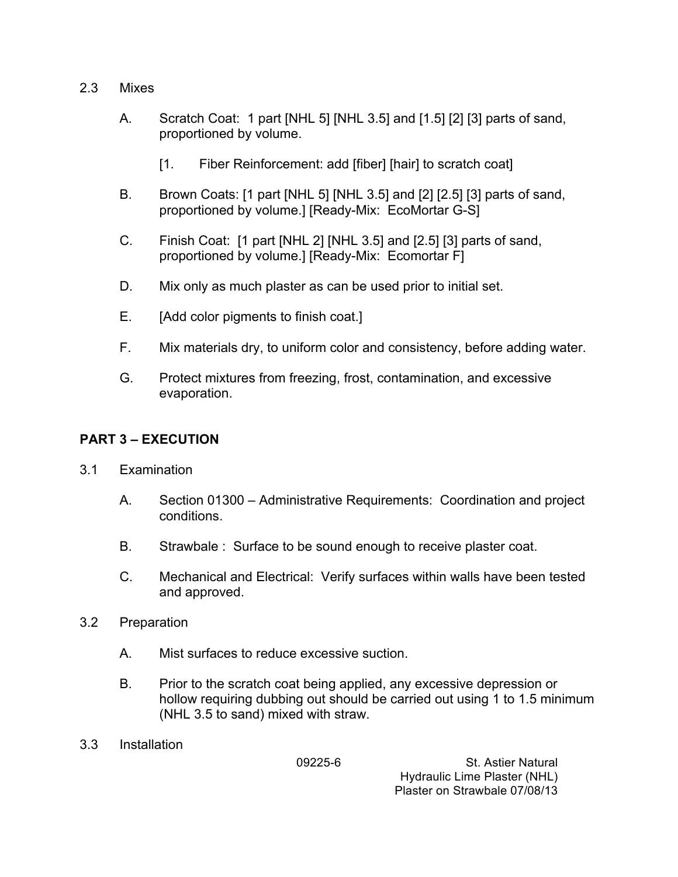- 2.3 Mixes
	- A. Scratch Coat: 1 part [NHL 5] [NHL 3.5] and [1.5] [2] [3] parts of sand, proportioned by volume.
		- [1. Fiber Reinforcement: add [fiber] [hair] to scratch coat]
	- B. Brown Coats: [1 part [NHL 5] [NHL 3.5] and [2] [2.5] [3] parts of sand, proportioned by volume.] [Ready-Mix: EcoMortar G-S]
	- C. Finish Coat: [1 part [NHL 2] [NHL 3.5] and [2.5] [3] parts of sand, proportioned by volume.] [Ready-Mix: Ecomortar F]
	- D. Mix only as much plaster as can be used prior to initial set.
	- E. [Add color pigments to finish coat.]
	- F. Mix materials dry, to uniform color and consistency, before adding water.
	- G. Protect mixtures from freezing, frost, contamination, and excessive evaporation.

## **PART 3 – EXECUTION**

- 3.1 Examination
	- A. Section 01300 Administrative Requirements: Coordination and project conditions.
	- B. Strawbale : Surface to be sound enough to receive plaster coat.
	- C. Mechanical and Electrical: Verify surfaces within walls have been tested and approved.
- 3.2 Preparation
	- A. Mist surfaces to reduce excessive suction.
	- B. Prior to the scratch coat being applied, any excessive depression or hollow requiring dubbing out should be carried out using 1 to 1.5 minimum (NHL 3.5 to sand) mixed with straw.
- 3.3 Installation

09225-6 St. Astier Natural Hydraulic Lime Plaster (NHL) Plaster on Strawbale 07/08/13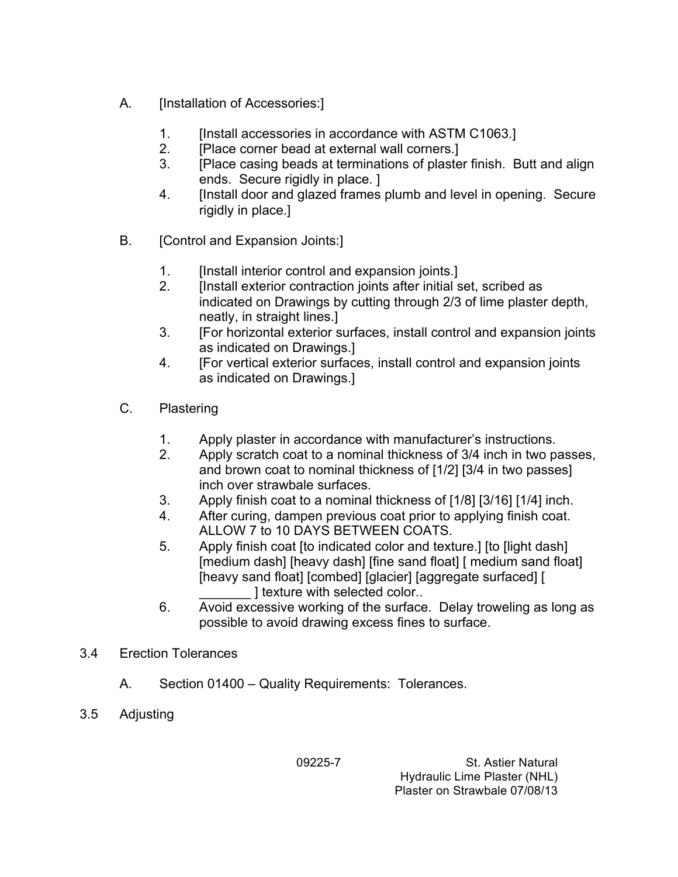- A. [Installation of Accessories:]
	- 1. [Install accessories in accordance with ASTM C1063.]
	- 2. **IPlace corner bead at external wall corners.**
	- 3. [Place casing beads at terminations of plaster finish. Butt and align ends. Secure rigidly in place. ]
	- 4. **Install door and glazed frames plumb and level in opening. Secure** rigidly in place.]
- B. [Control and Expansion Joints:]
	- 1. [Install interior control and expansion joints.]
	- 2. [Install exterior contraction joints after initial set, scribed as indicated on Drawings by cutting through 2/3 of lime plaster depth, neatly, in straight lines.]
	- 3. [For horizontal exterior surfaces, install control and expansion joints as indicated on Drawings.]
	- 4. [For vertical exterior surfaces, install control and expansion joints as indicated on Drawings.]
- C. Plastering
	- 1. Apply plaster in accordance with manufacturer's instructions.
	- 2. Apply scratch coat to a nominal thickness of 3/4 inch in two passes, and brown coat to nominal thickness of [1/2] [3/4 in two passes] inch over strawbale surfaces.
	- 3. Apply finish coat to a nominal thickness of [1/8] [3/16] [1/4] inch.
	- 4. After curing, dampen previous coat prior to applying finish coat. ALLOW 7 to 10 DAYS BETWEEN COATS.
	- 5. Apply finish coat [to indicated color and texture.] [to [light dash] [medium dash] [heavy dash] [fine sand float] [ medium sand float] [heavy sand float] [combed] [glacier] [aggregate surfaced] [ I texture with selected color..
	- 6. Avoid excessive working of the surface. Delay troweling as long as possible to avoid drawing excess fines to surface.
- 3.4 Erection Tolerances
	- A. Section 01400 Quality Requirements: Tolerances.
- 3.5 Adjusting

09225-7 St. Astier Natural Hydraulic Lime Plaster (NHL) Plaster on Strawbale 07/08/13